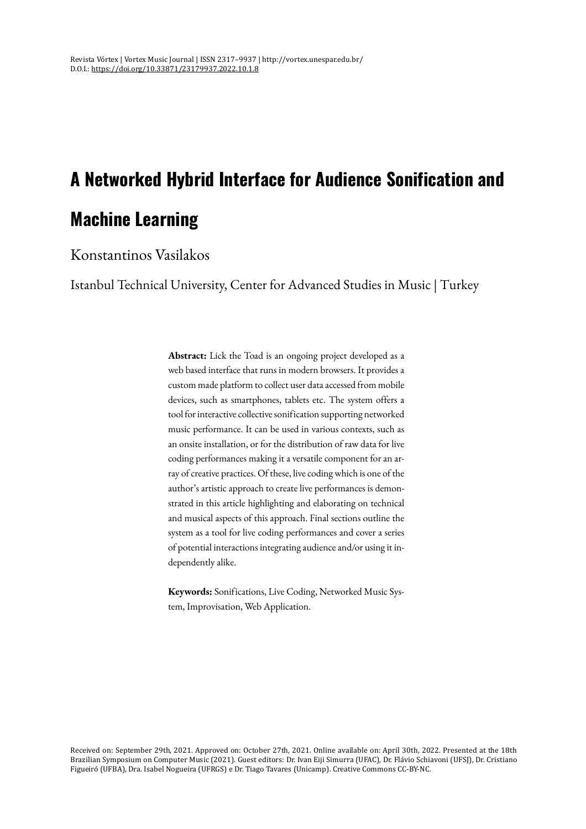# **A Networked Hybrid Interface for Audience Sonification and Machine Learning**

## Konstantinos Vasilakos

Istanbul Technical University, Center for Advanced Studies in Music | Turkey

**Abstract:** Lick the Toad is an ongoing project developed as a web based interface that runs in modern browsers. It provides a custom made platform to collect user data accessed from mobile devices, such as smartphones, tablets etc. The system offers a tool for interactive collective sonification supporting networked music performance. It can be used in various contexts, such as an onsite installation, or for the distribution of raw data for live coding performances making it a versatile component for an array of creative practices. Of these, live codingwhich is one of the author's artistic approach to create live performances is demonstrated in this article highlighting and elaborating on technical and musical aspects of this approach. Final sections outline the system as a tool for live coding performances and cover a series of potential interactions integrating audience and/or using it independently alike.

**Keywords:** Sonifications, Live Coding, Networked Music System, Improvisation, Web Application.

Received on: September 29th, 2021. Approved on: October 27th, 2021. Online available on: April 30th, 2022. Presented at the 18th Brazilian Symposium on Computer Music (2021). Guest editors: Dr. Ivan Eiji Simurra (UFAC), Dr. Flávio Schiavoni (UFSJ), Dr. Cristiano Figueiró (UFBA), Dra. Isabel Nogueira (UFRGS) e Dr. Tiago Tavares (Unicamp). Creative Commons CC-BY-NC.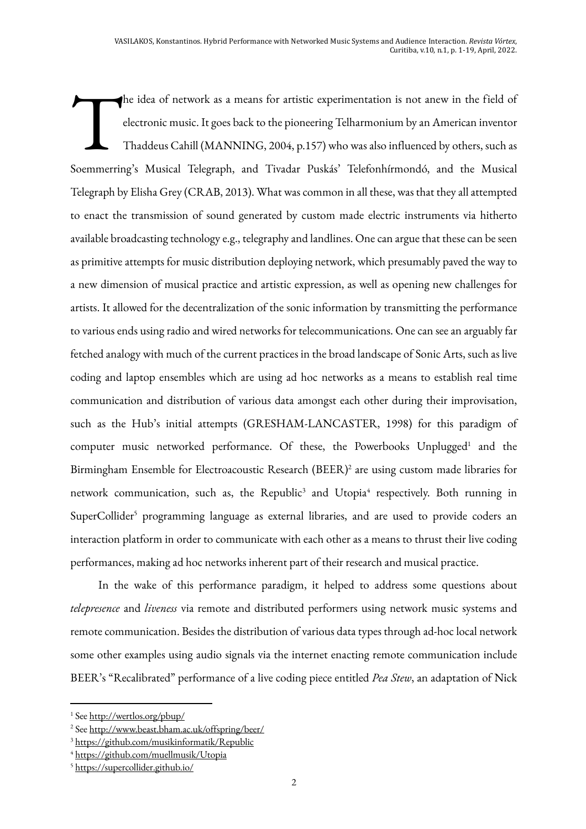he idea of network as a means for artistic experimentation is not anew in the field of electronic music. It goes back to the pioneering Telharmonium by an American inventor Thaddeus Cahill (MANNING, 2004, p.157) who was also influenced by others, such as Soemmerring's Musical Telegraph, and Tivadar Puskás' Telefonhírmondó, and the Musical Telegraph by Elisha Grey (CRAB, 2013). What was common in all these, was that they all attempted to enact the transmission of sound generated by custom made electric instruments via hitherto available broadcasting technology e.g., telegraphy and landlines. One can argue that these can be seen as primitive attempts for music distribution deploying network, which presumably paved the way to a new dimension of musical practice and artistic expression, as well as opening new challenges for artists. It allowed for the decentralization of the sonic information by transmitting the performance to various ends using radio and wired networks for telecommunications. One can see an arguably far fetched analogy with much of the current practices in the broad landscape of Sonic Arts, such as live coding and laptop ensembles which are using ad hoc networks as a means to establish real time communication and distribution of various data amongst each other during their improvisation, such as the Hub's initial attempts (GRESHAM-LANCASTER, 1998) for this paradigm of computer music networked performance. Of these, the Powerbooks Unplugged<sup>1</sup> and the Birmingham Ensemble for Electroacoustic Research (BEER)2 are using custom made libraries for network communication, such as, the Republic<sup>3</sup> and Utopia<sup>4</sup> respectively. Both running in SuperCollider<sup>5</sup> programming language as external libraries, and are used to provide coders an interaction platform in order to communicate with each other as a means to thrust their live coding performances, making ad hoc networks inherent part of their research and musical practice. T

In the wake of this performance paradigm, it helped to address some questions about *telepresence* and *liveness* via remote and distributed performers using network music systems and remote communication. Besides the distribution of various data types through ad-hoc local network some other examples using audio signals via the internet enacting remote communication include BEER's "Recalibrated" performance of a live coding piece entitled *Pea Stew*, an adaptation of Nick

<sup>1</sup> See http://wertlos.org/pbup/

<sup>2</sup> See http://www.beast.bham.ac.uk/offspring/beer/

<sup>3</sup> https://github.com/musikinformatik/Republic

<sup>4</sup> https://github.com/muellmusik/Utopia

<sup>5</sup> https://supercollider.github.io/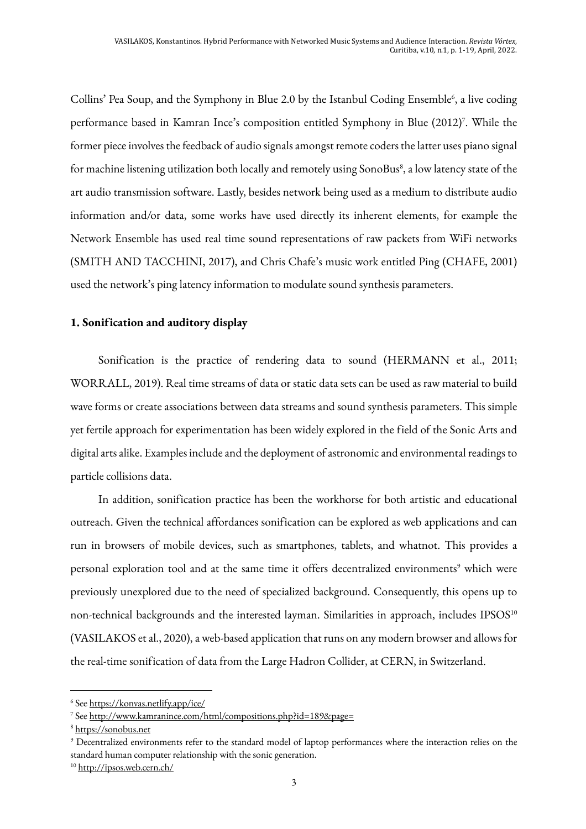Collins' Pea Soup, and the Symphony in Blue 2.0 by the Istanbul Coding Ensemble<sup>6</sup>, a live coding performance based in Kamran Ince's composition entitled Symphony in Blue (2012)<sup>7</sup>. While the former piece involves the feedback of audio signals amongst remote coders the latter uses piano signal for machine listening utilization both locally and remotely using SonoBus $^s$ , a low latency state of the art audio transmission software. Lastly, besides network being used as a medium to distribute audio information and/or data, some works have used directly its inherent elements, for example the Network Ensemble has used real time sound representations of raw packets from WiFi networks (SMITH AND TACCHINI, 2017), and Chris Chafe's music work entitled Ping (CHAFE, 2001) used the network's ping latency information to modulate sound synthesis parameters.

### **1. Sonification and auditory display**

Sonification is the practice of rendering data to sound (HERMANN et al., 2011; WORRALL, 2019). Real time streams of data or static data sets can be used as raw material to build wave forms or create associations between data streams and sound synthesis parameters. This simple yet fertile approach for experimentation has been widely explored in the field of the Sonic Arts and digital arts alike. Examples include and the deployment of astronomic and environmental readings to particle collisions data.

In addition, sonification practice has been the workhorse for both artistic and educational outreach. Given the technical affordances sonification can be explored as web applications and can run in browsers of mobile devices, such as smartphones, tablets, and whatnot. This provides a personal exploration tool and at the same time it offers decentralized environments<sup>9</sup> which were previously unexplored due to the need of specialized background. Consequently, this opens up to non-technical backgrounds and the interested layman. Similarities in approach, includes IPSOS<sup>10</sup> (VASILAKOS et al., 2020), a web-based application that runs on any modern browser and allows for the real-time sonification of data from the Large Hadron Collider, at CERN, in Switzerland.

<sup>6</sup> See https://konvas.netlify.app/ice/

<sup>7</sup> See http://www.kamranince.com/html/compositions.php?id=189&page=

<sup>8</sup> https://sonobus.net

<sup>9</sup> Decentralized environments refer to the standard model of laptop performances where the interaction relies on the standard human computer relationship with the sonic generation.

<sup>10</sup> http://ipsos.web.cern.ch/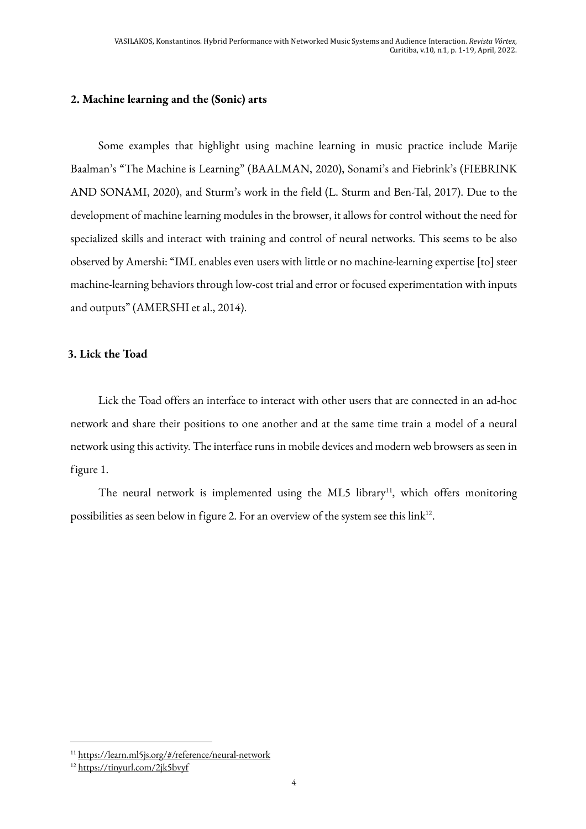## **2. Machine learning and the (Sonic) arts**

Some examples that highlight using machine learning in music practice include Marije Baalman's "The Machine is Learning" (BAALMAN, 2020), Sonami's and Fiebrink's (FIEBRINK AND SONAMI, 2020), and Sturm's work in the field (L. Sturm and Ben-Tal, 2017). Due to the development of machine learning modules in the browser, it allows for control without the need for specialized skills and interact with training and control of neural networks. This seems to be also observed by Amershi: "IML enables even users with little or no machine-learning expertise [to] steer machine-learning behaviors through low-cost trial and error or focused experimentation with inputs and outputs" (AMERSHI et al., 2014).

## **3. Lick the Toad**

Lick the Toad offers an interface to interact with other users that are connected in an ad-hoc network and share their positions to one another and at the same time train a model of a neural network using this activity. The interface runs in mobile devices and modern web browsers as seen in figure 1.

The neural network is implemented using the ML5 library<sup>11</sup>, which offers monitoring possibilities as seen below in figure 2. For an overview of the system see this link<sup>12</sup>.

<sup>11</sup> https://learn.ml5js.org/#/reference/neural-network

<sup>12</sup> https://tinyurl.com/2jk5bvyf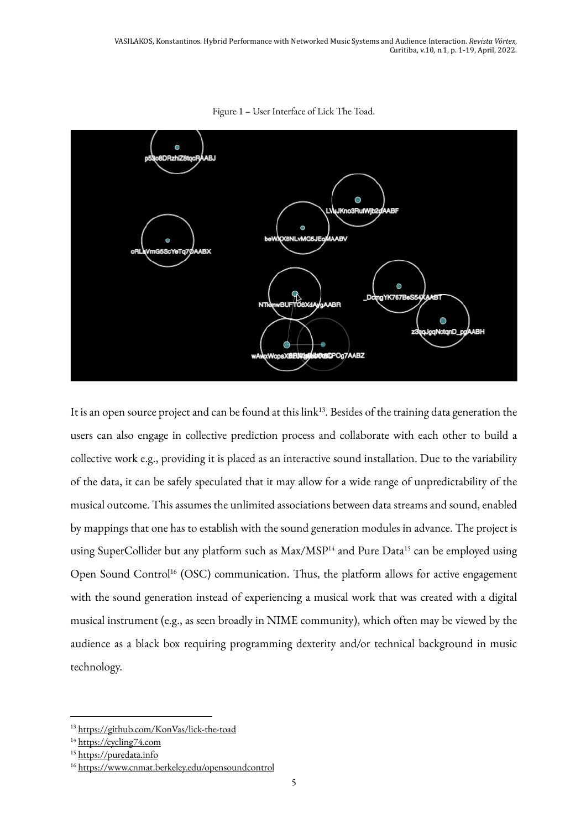

Figure 1 – User Interface of Lick The Toad.

It is an open source project and can be found at this link<sup>13</sup>. Besides of the training data generation the users can also engage in collective prediction process and collaborate with each other to build a collective work e.g., providing it is placed as an interactive sound installation. Due to the variability of the data, it can be safely speculated that it may allow for a wide range of unpredictability of the musical outcome. This assumes the unlimited associations between data streams and sound, enabled by mappings that one has to establish with the sound generation modules in advance. The project is using SuperCollider but any platform such as Max/MSP<sup>14</sup> and Pure Data<sup>15</sup> can be employed using Open Sound Control<sup>16</sup> (OSC) communication. Thus, the platform allows for active engagement with the sound generation instead of experiencing a musical work that was created with a digital musical instrument (e.g., as seen broadly in NIME community), which often may be viewed by the audience as a black box requiring programming dexterity and/or technical background in music technology.

<sup>13</sup> https://github.com/KonVas/lick-the-toad

<sup>&</sup>lt;sup>14</sup> https://cycling74.com

<sup>&</sup>lt;sup>15</sup> https://puredata.info

<sup>16</sup> https://www.cnmat.berkeley.edu/opensoundcontrol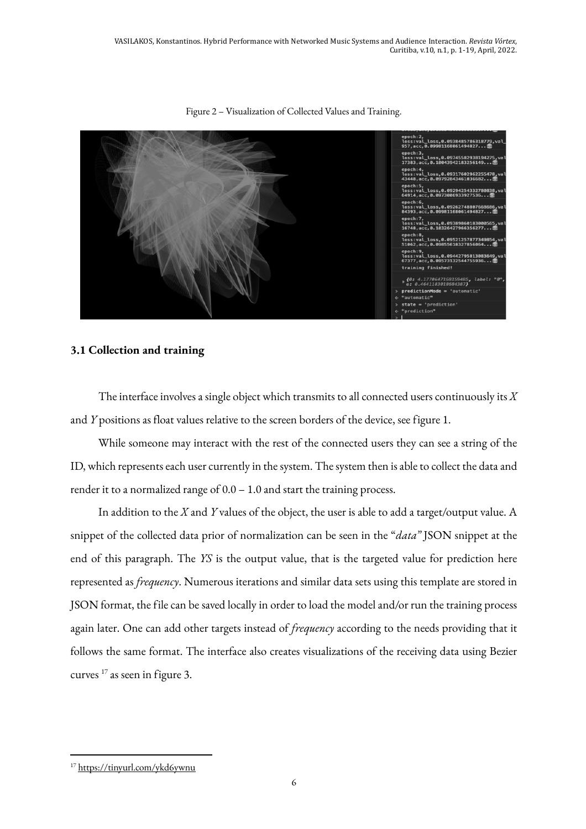

Figure 2 – Visualization of Collected Values and Training.

#### **3.1 Collection and training**

The interface involves a single object which transmits to all connected users continuously its *X* and *Y* positions as float values relative to the screen borders of the device, see figure 1.

While someone may interact with the rest of the connected users they can see a string of the ID, which represents each user currently in the system. The system then is able to collect the data and render it to a normalized range of 0.0 – 1.0 and start the training process.

In addition to the *X* and *Y* values of the object, the user is able to add a target/output value. A snippet of the collected data prior of normalization can be seen in the "*data"* JSON snippet at the end of this paragraph. The *YS* is the output value, that is the targeted value for prediction here represented as *frequency*. Numerous iterations and similar data sets using this template are stored in JSON format, the file can be saved locally in order to load the model and/or run the training process again later. One can add other targets instead of *frequency* according to the needs providing that it follows the same format. The interface also creates visualizations of the receiving data using Bezier curves 17 as seen in figure 3.

<sup>17</sup> https://tinyurl.com/ykd6ywnu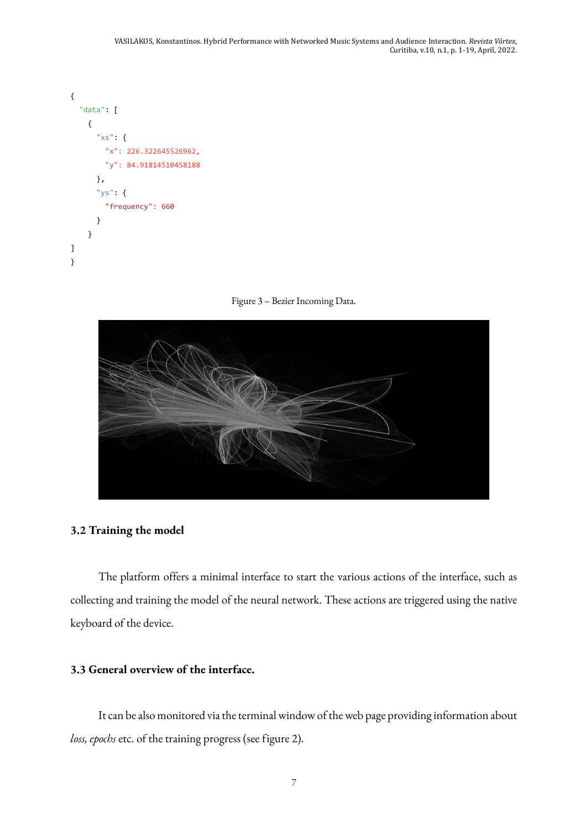```
{
   "data": [
     {
       "xs": {
          "x": 226.322645526962,
          "y": 84.91814510458188
       },
        "ys": {
          "frequency": 660
        }
     }
]
}
```




#### **3.2 Training the model**

The platform offers a minimal interface to start the various actions of the interface, such as collecting and training the model of the neural network. These actions are triggered using the native keyboard of the device.

#### **3.3 General overview of the interface.**

It can be also monitored via the terminal window of the web page providing information about *loss, epochs* etc. of the training progress (see figure 2).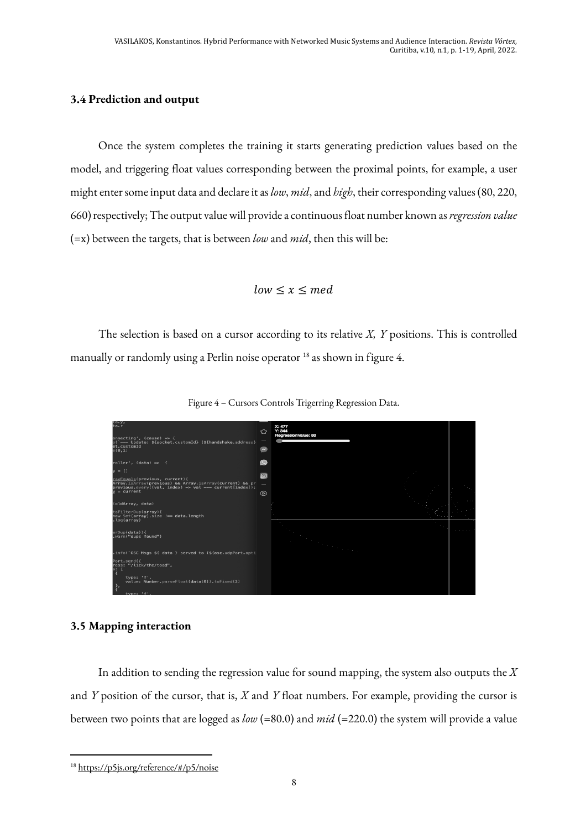## **3.4 Prediction and output**

Once the system completes the training it starts generating prediction values based on the model, and triggering float values corresponding between the proximal points, for example, a user might enter some input data and declare it as *low*, *mid*, and *high*, their corresponding values (80, 220, 660) respectively; The output value will provide a continuous float number known as *regression value* (=x) between the targets, that is between *low* and *mid*, then this will be:

$$
low \leq x \leq med
$$

The selection is based on a cursor according to its relative *X, Y* positions. This is controlled manually or randomly using a Perlin noise operator <sup>18</sup> as shown in figure 4.



Figure 4 – Cursors Controls Trigerring Regression Data.

#### **3.5 Mapping interaction**

In addition to sending the regression value for sound mapping, the system also outputs the *X* and *Y* position of the cursor, that is, *X* and *Y* float numbers. For example, providing the cursor is between two points that are logged as *low* (=80.0) and *mid* (=220.0) the system will provide a value

<sup>18</sup> https://p5js.org/reference/#/p5/noise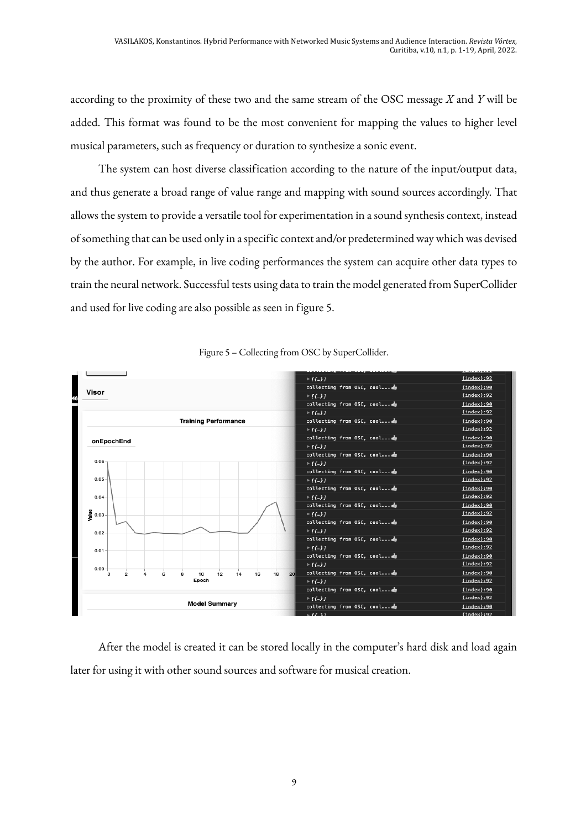according to the proximity of these two and the same stream of the OSC message *X* and *Y* will be added. This format was found to be the most convenient for mapping the values to higher level musical parameters, such as frequency or duration to synthesize a sonic event.

The system can host diverse classification according to the nature of the input/output data, and thus generate a broad range of value range and mapping with sound sources accordingly. That allows the system to provide a versatile tool for experimentation in a sound synthesis context, instead of something that can be used only in a specific context and/or predetermined way which was devised by the author. For example, in live coding performances the system can acquire other data types to train the neural network. Successful tests using data to train the model generated from SuperCollider and used for live coding are also possible as seen in figure 5.





After the model is created it can be stored locally in the computer's hard disk and load again later for using it with other sound sources and software for musical creation.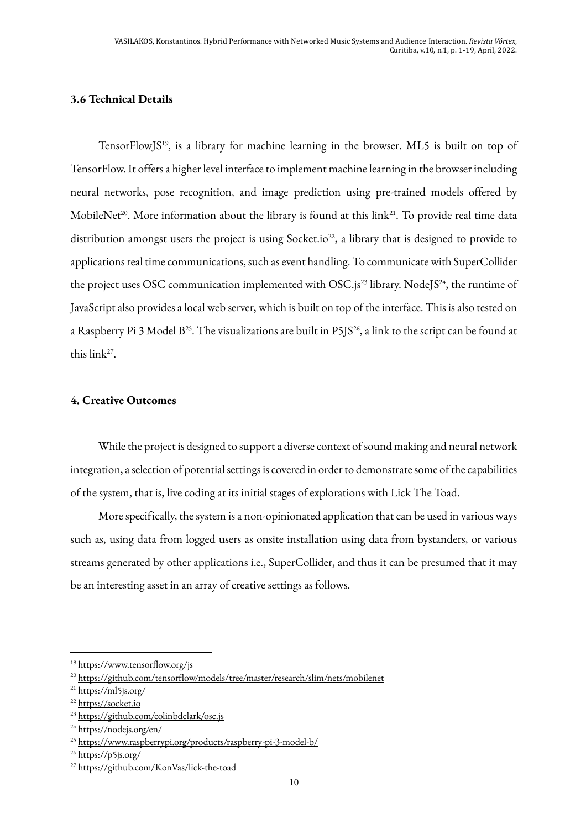## **3.6 Technical Details**

TensorFlowJS19, is a library for machine learning in the browser. ML5 is built on top of TensorFlow. It offers a higher level interface to implement machine learning in the browser including neural networks, pose recognition, and image prediction using pre-trained models offered by MobileNet<sup>20</sup>. More information about the library is found at this link<sup>21</sup>. To provide real time data distribution amongst users the project is using Socket.io<sup>22</sup>, a library that is designed to provide to applications real time communications, such as event handling. To communicate with SuperCollider the project uses OSC communication implemented with OSC.js<sup>23</sup> library. NodeJS<sup>24</sup>, the runtime of JavaScript also provides a local web server, which is built on top of the interface. This is also tested on a Raspberry Pi 3 Model B<sup>25</sup>. The visualizations are built in P5JS<sup>26</sup>, a link to the script can be found at this link27.

### **4. Creative Outcomes**

While the project is designed to support a diverse context of sound making and neural network integration, a selection of potential settings is covered in order to demonstrate some of the capabilities of the system, that is, live coding at its initial stages of explorations with Lick The Toad.

More specifically, the system is a non-opinionated application that can be used in various ways such as, using data from logged users as onsite installation using data from bystanders, or various streams generated by other applications i.e., SuperCollider, and thus it can be presumed that it may be an interesting asset in an array of creative settings as follows.

<sup>19</sup> https://www.tensorflow.org/js

<sup>20</sup> https://github.com/tensorflow/models/tree/master/research/slim/nets/mobilenet

<sup>&</sup>lt;sup>21</sup> https://ml5js.org/

<sup>22</sup> https://socket.io

<sup>23</sup> https://github.com/colinbdclark/osc.js

<sup>24</sup> https://nodejs.org/en/

<sup>25</sup> https://www.raspberrypi.org/products/raspberry-pi-3-model-b/

<sup>&</sup>lt;sup>26</sup> https://p5js.org/

<sup>27</sup> https://github.com/KonVas/lick-the-toad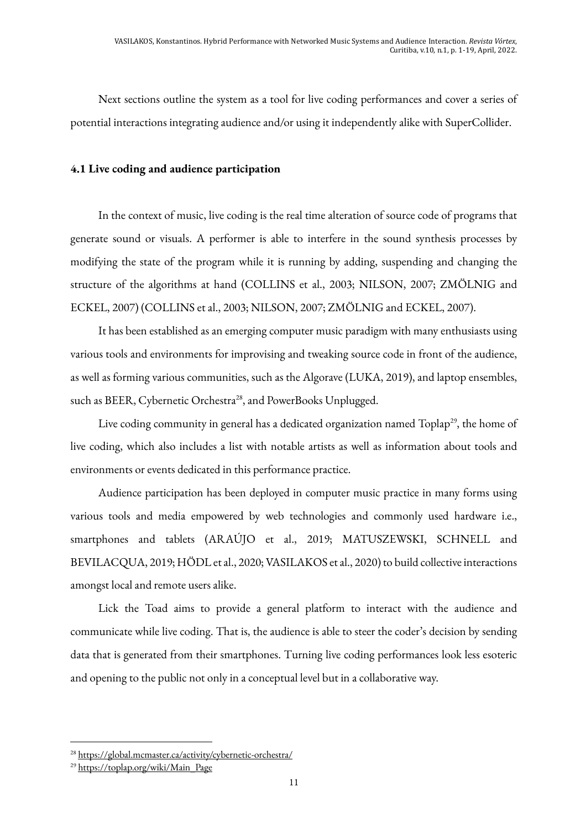Next sections outline the system as a tool for live coding performances and cover a series of potential interactions integrating audience and/or using it independently alike with SuperCollider.

### **4.1 Live coding and audience participation**

In the context of music, live coding is the real time alteration of source code of programs that generate sound or visuals. A performer is able to interfere in the sound synthesis processes by modifying the state of the program while it is running by adding, suspending and changing the structure of the algorithms at hand (COLLINS et al., 2003; NILSON, 2007; ZMÖLNIG and ECKEL, 2007) (COLLINS et al., 2003; NILSON, 2007; ZMÖLNIG and ECKEL, 2007).

It has been established as an emerging computer music paradigm with many enthusiasts using various tools and environments for improvising and tweaking source code in front of the audience, as well as forming various communities, such as the Algorave (LUKA, 2019), and laptop ensembles, such as BEER, Cybernetic Orchestra<sup>28</sup>, and PowerBooks Unplugged.

Live coding community in general has a dedicated organization named Toplap<sup>29</sup>, the home of live coding, which also includes a list with notable artists as well as information about tools and environments or events dedicated in this performance practice.

Audience participation has been deployed in computer music practice in many forms using various tools and media empowered by web technologies and commonly used hardware i.e., smartphones and tablets (ARAÚJO et al., 2019; MATUSZEWSKI, SCHNELL and BEVILACQUA, 2019; HÖDL et al., 2020; VASILAKOS et al., 2020) to build collective interactions amongst local and remote users alike.

Lick the Toad aims to provide a general platform to interact with the audience and communicate while live coding. That is, the audience is able to steer the coder's decision by sending data that is generated from their smartphones. Turning live coding performances look less esoteric and opening to the public not only in a conceptual level but in a collaborative way.

<sup>28</sup> https://global.mcmaster.ca/activity/cybernetic-orchestra/

<sup>29</sup> https://toplap.org/wiki/Main\_Page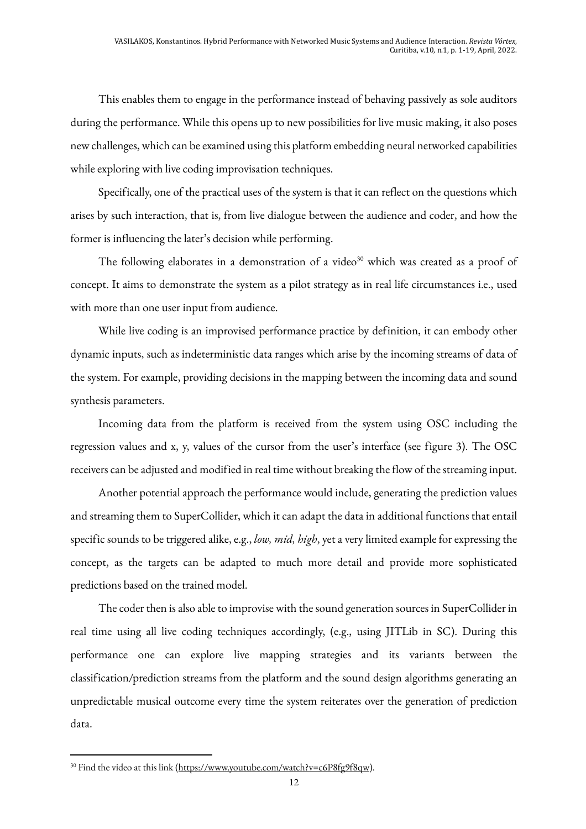This enables them to engage in the performance instead of behaving passively as sole auditors during the performance. While this opens up to new possibilities for live music making, it also poses new challenges, which can be examined using this platform embedding neural networked capabilities while exploring with live coding improvisation techniques.

Specifically, one of the practical uses of the system is that it can reflect on the questions which arises by such interaction, that is, from live dialogue between the audience and coder, and how the former is influencing the later's decision while performing.

The following elaborates in a demonstration of a video $30$  which was created as a proof of concept. It aims to demonstrate the system as a pilot strategy as in real life circumstances i.e., used with more than one user input from audience.

While live coding is an improvised performance practice by definition, it can embody other dynamic inputs, such as indeterministic data ranges which arise by the incoming streams of data of the system. For example, providing decisions in the mapping between the incoming data and sound synthesis parameters.

Incoming data from the platform is received from the system using OSC including the regression values and x, y, values of the cursor from the user's interface (see figure 3). The OSC receivers can be adjusted and modified in real time without breaking the flow of the streaming input.

Another potential approach the performance would include, generating the prediction values and streaming them to SuperCollider, which it can adapt the data in additional functions that entail specific sounds to be triggered alike, e.g., *low, mid, high*, yet a very limited example for expressing the concept, as the targets can be adapted to much more detail and provide more sophisticated predictions based on the trained model.

The coder then is also able to improvise with the sound generation sources in SuperCollider in real time using all live coding techniques accordingly, (e.g., using JITLib in SC). During this performance one can explore live mapping strategies and its variants between the classification/prediction streams from the platform and the sound design algorithms generating an unpredictable musical outcome every time the system reiterates over the generation of prediction data.

<sup>&</sup>lt;sup>30</sup> Find the video at this link (https://www.youtube.com/watch?v=c6P8fg9f8qw).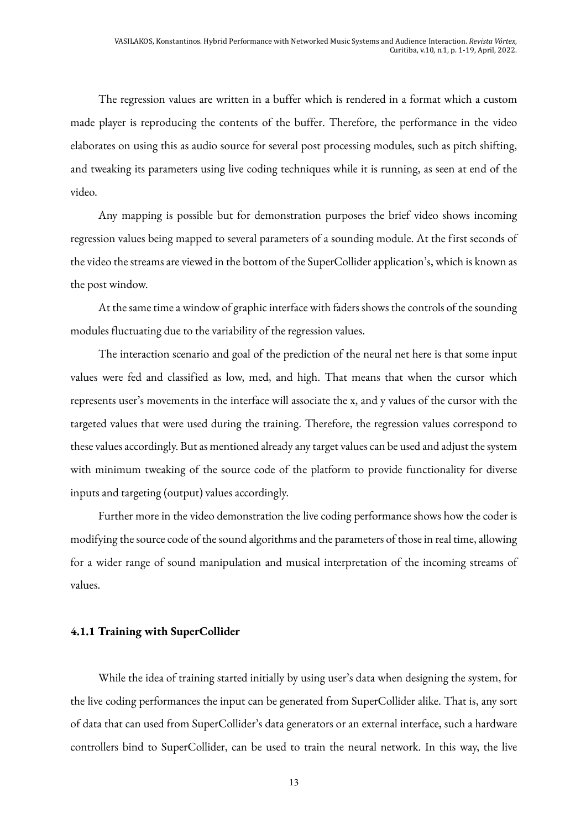The regression values are written in a buffer which is rendered in a format which a custom made player is reproducing the contents of the buffer. Therefore, the performance in the video elaborates on using this as audio source for several post processing modules, such as pitch shifting, and tweaking its parameters using live coding techniques while it is running, as seen at end of the video.

Any mapping is possible but for demonstration purposes the brief video shows incoming regression values being mapped to several parameters of a sounding module. At the first seconds of the video the streams are viewed in the bottom of the SuperCollider application's, which is known as the post window.

At the same time a window of graphic interface with faders shows the controls of the sounding modules fluctuating due to the variability of the regression values.

The interaction scenario and goal of the prediction of the neural net here is that some input values were fed and classified as low, med, and high. That means that when the cursor which represents user's movements in the interface will associate the x, and y values of the cursor with the targeted values that were used during the training. Therefore, the regression values correspond to these values accordingly. But as mentioned already any target values can be used and adjust the system with minimum tweaking of the source code of the platform to provide functionality for diverse inputs and targeting (output) values accordingly.

Further more in the video demonstration the live coding performance shows how the coder is modifying the source code of the sound algorithms and the parameters of those in real time, allowing for a wider range of sound manipulation and musical interpretation of the incoming streams of values.

#### **4.1.1 Training with SuperCollider**

While the idea of training started initially by using user's data when designing the system, for the live coding performances the input can be generated from SuperCollider alike. That is, any sort of data that can used from SuperCollider's data generators or an external interface, such a hardware controllers bind to SuperCollider, can be used to train the neural network. In this way, the live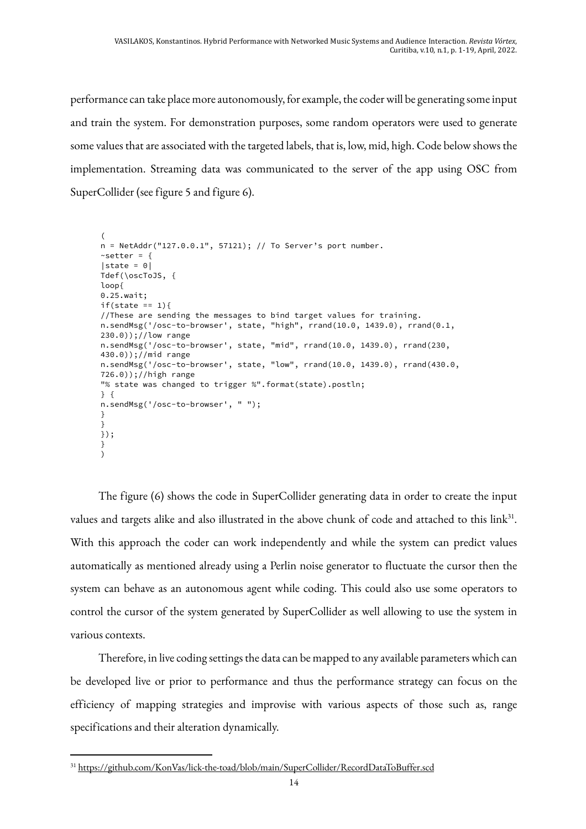performance can take place more autonomously, for example, the coder will be generating some input and train the system. For demonstration purposes, some random operators were used to generate some values that are associated with the targeted labels, that is, low, mid, high. Code below shows the implementation. Streaming data was communicated to the server of the app using OSC from SuperCollider (see figure 5 and figure 6).

```
(
n = NetAddr("127.0.0.1", 57121); // To Server's port number.~\simsetter = {
|state = 0|Tdef(\oscToJS, {
loop{
0.25.wait;
if(state == 1)//These are sending the messages to bind target values for training.
n.sendMsg('/osc-to-browser', state, "high", rrand(10.0, 1439.0), rrand(0.1, 
230.0));//low range
n.sendMsg('/osc-to-browser', state, "mid", rrand(10.0, 1439.0), rrand(230, 
430.0));//mid range
n.sendMsg('/osc-to-browser', state, "low", rrand(10.0, 1439.0), rrand(430.0, 
726.0));//high range
"% state was changed to trigger %".format(state).postln;
} {
n.sendMsg('/osc-to-browser', " ");
}
}
});
}
\lambda
```
The figure (6) shows the code in SuperCollider generating data in order to create the input values and targets alike and also illustrated in the above chunk of code and attached to this link<sup>31</sup>. With this approach the coder can work independently and while the system can predict values automatically as mentioned already using a Perlin noise generator to fluctuate the cursor then the system can behave as an autonomous agent while coding. This could also use some operators to control the cursor of the system generated by SuperCollider as well allowing to use the system in various contexts.

Therefore, in live coding settings the data can be mapped to any available parameters which can be developed live or prior to performance and thus the performance strategy can focus on the efficiency of mapping strategies and improvise with various aspects of those such as, range specifications and their alteration dynamically.

<sup>31</sup> https://github.com/KonVas/lick-the-toad/blob/main/SuperCollider/RecordDataToBuffer.scd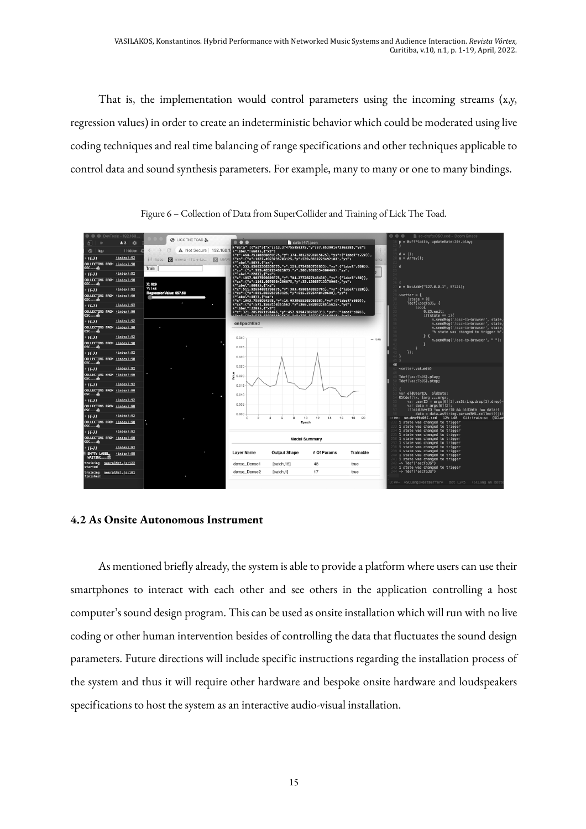That is, the implementation would control parameters using the incoming streams (x,y, regression values) in order to create an indeterministic behavior which could be moderated using live coding techniques and real time balancing of range specifications and other techniques applicable to control data and sound synthesis parameters. For example, many to many or one to many bindings.



Figure 6 – Collection of Data from SuperCollider and Training of Lick The Toad.

#### **4.2 As Onsite Autonomous Instrument**

As mentioned briefly already, the system is able to provide a platform where users can use their smartphones to interact with each other and see others in the application controlling a host computer's sound design program. This can be used as onsite installation which will run with no live coding or other human intervention besides of controlling the data that fluctuates the sound design parameters. Future directions will include specific instructions regarding the installation process of the system and thus it will require other hardware and bespoke onsite hardware and loudspeakers specifications to host the system as an interactive audio-visual installation.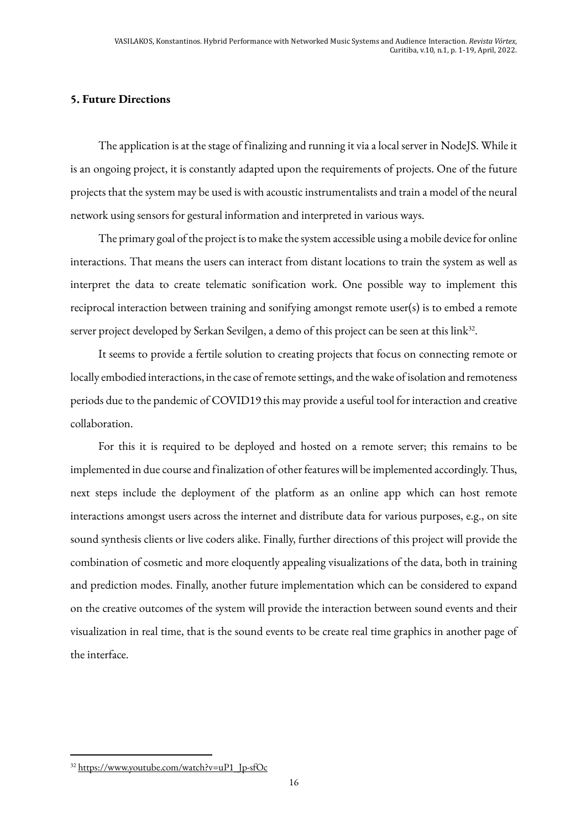## **5. Future Directions**

The application is at the stage of finalizing and running it via a local server in NodeJS. While it is an ongoing project, it is constantly adapted upon the requirements of projects. One of the future projects that the system may be used is with acoustic instrumentalists and train a model of the neural network using sensors for gestural information and interpreted in various ways.

The primary goal of the project is to make the system accessible using a mobile device for online interactions. That means the users can interact from distant locations to train the system as well as interpret the data to create telematic sonification work. One possible way to implement this reciprocal interaction between training and sonifying amongst remote user(s) is to embed a remote server project developed by Serkan Sevilgen, a demo of this project can be seen at this link<sup>32</sup>.

It seems to provide a fertile solution to creating projects that focus on connecting remote or locally embodied interactions, in the case of remote settings, and the wake of isolation and remoteness periods due to the pandemic of COVID19 this may provide a useful tool for interaction and creative collaboration.

For this it is required to be deployed and hosted on a remote server; this remains to be implemented in due course and finalization of other features will be implemented accordingly. Thus, next steps include the deployment of the platform as an online app which can host remote interactions amongst users across the internet and distribute data for various purposes, e.g., on site sound synthesis clients or live coders alike. Finally, further directions of this project will provide the combination of cosmetic and more eloquently appealing visualizations of the data, both in training and prediction modes. Finally, another future implementation which can be considered to expand on the creative outcomes of the system will provide the interaction between sound events and their visualization in real time, that is the sound events to be create real time graphics in another page of the interface.

<sup>&</sup>lt;sup>32</sup> https://www.youtube.com/watch?v=uP1\_Jp-sfOc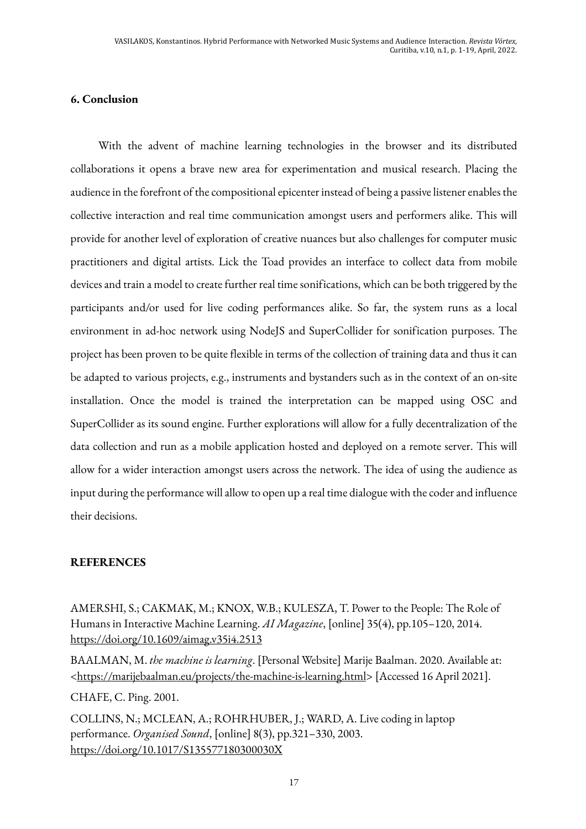## **6. Conclusion**

With the advent of machine learning technologies in the browser and its distributed collaborations it opens a brave new area for experimentation and musical research. Placing the audience in the forefront of the compositional epicenter instead of being a passive listener enables the collective interaction and real time communication amongst users and performers alike. This will provide for another level of exploration of creative nuances but also challenges for computer music practitioners and digital artists. Lick the Toad provides an interface to collect data from mobile devices and train a model to create further real time sonifications, which can be both triggered by the participants and/or used for live coding performances alike. So far, the system runs as a local environment in ad-hoc network using NodeJS and SuperCollider for sonification purposes. The project has been proven to be quite flexible in terms of the collection of training data and thus it can be adapted to various projects, e.g., instruments and bystanders such as in the context of an on-site installation. Once the model is trained the interpretation can be mapped using OSC and SuperCollider as its sound engine. Further explorations will allow for a fully decentralization of the data collection and run as a mobile application hosted and deployed on a remote server. This will allow for a wider interaction amongst users across the network. The idea of using the audience as input during the performance will allow to open up a real time dialogue with the coder and influence their decisions.

## **REFERENCES**

AMERSHI, S.; CAKMAK, M.; KNOX, W.B.; KULESZA, T. Power to the People: The Role of Humans in Interactive Machine Learning. *AI Magazine*, [online] 35(4), pp.105–120, 2014. https://doi.org/10.1609/aimag.v35i4.2513

BAALMAN, M. *the machine is learning*. [Personal Website] Marije Baalman. 2020. Available at: <https://marijebaalman.eu/projects/the-machine-is-learning.html> [Accessed 16 April 2021].

CHAFE, C. Ping. 2001.

COLLINS, N.; MCLEAN, A.; ROHRHUBER, J.; WARD, A. Live coding in laptop performance. *Organised Sound*, [online] 8(3), pp.321–330, 2003. https://doi.org/10.1017/S135577180300030X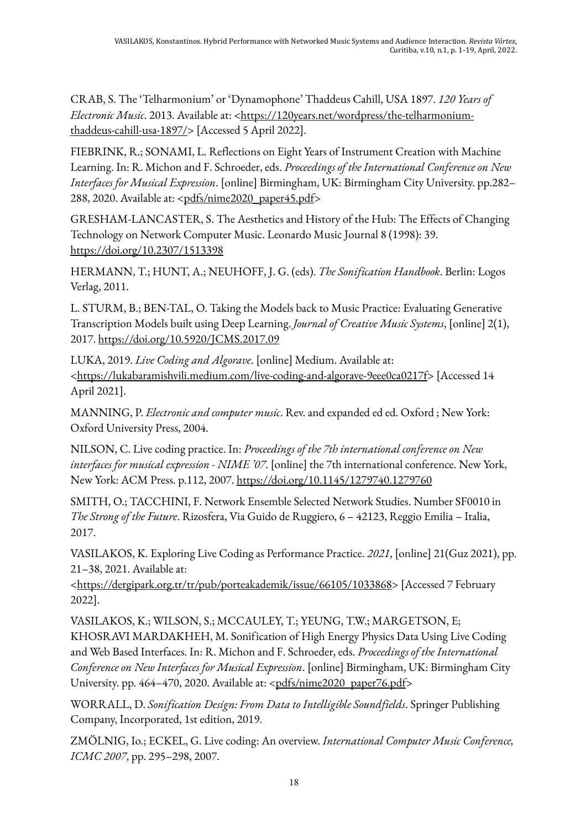CRAB, S. The 'Telharmonium' or 'Dynamophone' Thaddeus Cahill, USA 1897. *120 Years of Electronic Music*. 2013. Available at: <https://120years.net/wordpress/the-telharmoniumthaddeus-cahill-usa-1897/> [Accessed 5 April 2022].

FIEBRINK, R.; SONAMI, L. Reflections on Eight Years of Instrument Creation with Machine Learning. In: R. Michon and F. Schroeder, eds. *Proceedings of the International Conference on New Interfaces for Musical Expression*. [online] Birmingham, UK: Birmingham City University. pp.282– 288, 2020. Available at: <pdfs/nime2020\_paper45.pdf>

GRESHAM-LANCASTER, S. The Aesthetics and History of the Hub: The Effects of Changing Technology on Network Computer Music. Leonardo Music Journal 8 (1998): 39. https://doi.org/10.2307/1513398

HERMANN, T.; HUNT, A.; NEUHOFF, J. G. (eds). *The Sonification Handbook*. Berlin: Logos Verlag, 2011.

L. STURM, B.; BEN-TAL, O. Taking the Models back to Music Practice: Evaluating Generative Transcription Models built using Deep Learning. *Journal of Creative Music Systems*, [online] 2(1), 2017. https://doi.org/10.5920/JCMS.2017.09

LUKA, 2019. *Live Coding and Algorave*. [online] Medium. Available at: <https://lukabaramishvili.medium.com/live-coding-and-algorave-9eee0ca0217f> [Accessed 14 April 2021].

MANNING, P. *Electronic and computer music*. Rev. and expanded ed ed. Oxford ; New York: Oxford University Press, 2004.

NILSON, C. Live coding practice. In: *Proceedings of the 7th international conference on New interfaces for musical expression - NIME '07*. [online] the 7th international conference. New York, New York: ACM Press. p.112, 2007. https://doi.org/10.1145/1279740.1279760

SMITH, O.; TACCHINI, F. Network Ensemble Selected Network Studies. Number SF0010 in *The Strong of the Future*. Rizosfera, Via Guido de Ruggiero, 6 – 42123, Reggio Emilia – Italia, 2017.

VASILAKOS, K. Exploring Live Coding as Performance Practice. *2021*, [online] 21(Guz 2021), pp. 21–38, 2021. Available at:

<https://dergipark.org.tr/tr/pub/porteakademik/issue/66105/1033868> [Accessed 7 February 2022].

VASILAKOS, K.; WILSON, S.; MCCAULEY, T.; YEUNG, T.W.; MARGETSON, E; KHOSRAVI MARDAKHEH, M. Sonification of High Energy Physics Data Using Live Coding and Web Based Interfaces. In: R. Michon and F. Schroeder, eds. *Proceedings of the International Conference on New Interfaces for Musical Expression*. [online] Birmingham, UK: Birmingham City University. pp. 464-470, 2020. Available at: <pdfs/nime2020\_paper76.pdf>

WORRALL, D. *Sonification Design: From Data to Intelligible Soundfields*. Springer Publishing Company, Incorporated, 1st edition, 2019.

ZMÖLNIG, Io.; ECKEL, G. Live coding: An overview. *International Computer Music Conference, ICMC 2007*, pp. 295–298, 2007.